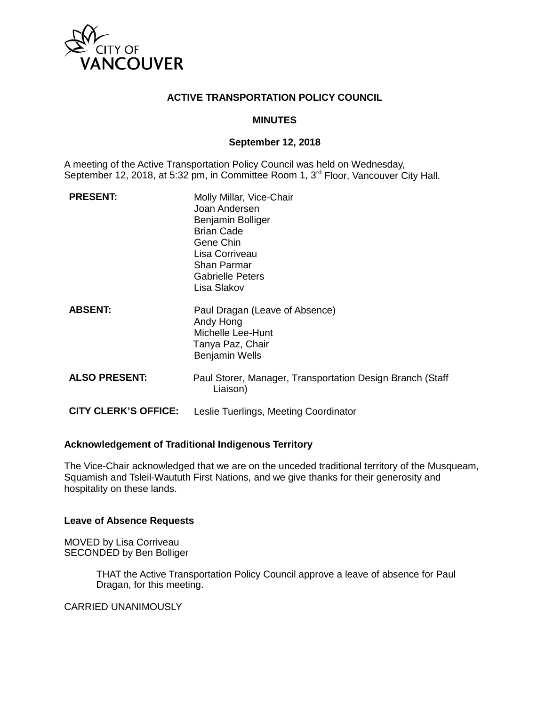

## **ACTIVE TRANSPORTATION POLICY COUNCIL**

## **MINUTES**

### **September 12, 2018**

A meeting of the Active Transportation Policy Council was held on Wednesday, September 12, 2018, at 5:32 pm, in Committee Room 1, 3<sup>rd</sup> Floor, Vancouver City Hall.

| <b>PRESENT:</b>             | Molly Millar, Vice-Chair<br>Joan Andersen<br>Benjamin Bolliger<br><b>Brian Cade</b><br>Gene Chin<br>Lisa Corriveau<br><b>Shan Parmar</b><br><b>Gabrielle Peters</b><br>Lisa Slakov |
|-----------------------------|------------------------------------------------------------------------------------------------------------------------------------------------------------------------------------|
| <b>ABSENT:</b>              | Paul Dragan (Leave of Absence)<br>Andy Hong<br>Michelle Lee-Hunt<br>Tanya Paz, Chair<br><b>Benjamin Wells</b>                                                                      |
| <b>ALSO PRESENT:</b>        | Paul Storer, Manager, Transportation Design Branch (Staff)<br>Liaison)                                                                                                             |
| <b>CITY CLERK'S OFFICE:</b> | Leslie Tuerlings, Meeting Coordinator                                                                                                                                              |

### **Acknowledgement of Traditional Indigenous Territory**

The Vice-Chair acknowledged that we are on the unceded traditional territory of the Musqueam, Squamish and Tsleil-Waututh First Nations, and we give thanks for their generosity and hospitality on these lands.

### **Leave of Absence Requests**

MOVED by Lisa Corriveau SECONDED by Ben Bolliger

> THAT the Active Transportation Policy Council approve a leave of absence for Paul Dragan, for this meeting.

CARRIED UNANIMOUSLY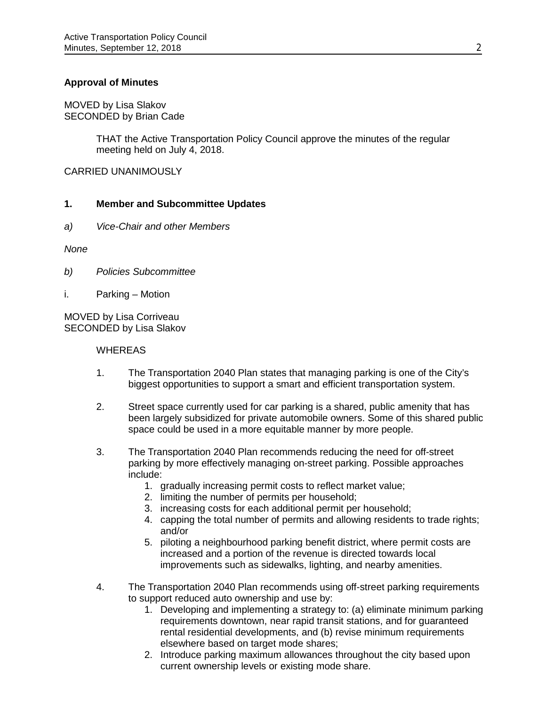## **Approval of Minutes**

MOVED by Lisa Slakov SECONDED by Brian Cade

> THAT the Active Transportation Policy Council approve the minutes of the regular meeting held on July 4, 2018.

CARRIED UNANIMOUSLY

### **1. Member and Subcommittee Updates**

*a) Vice-Chair and other Members*

*None*

- *b) Policies Subcommittee*
- i. Parking Motion

MOVED by Lisa Corriveau SECONDED by Lisa Slakov

#### **WHEREAS**

- 1. The Transportation 2040 Plan states that managing parking is one of the City's biggest opportunities to support a smart and efficient transportation system.
- 2. Street space currently used for car parking is a shared, public amenity that has been largely subsidized for private automobile owners. Some of this shared public space could be used in a more equitable manner by more people.
- 3. The Transportation 2040 Plan recommends reducing the need for off-street parking by more effectively managing on-street parking. Possible approaches include:
	- 1. gradually increasing permit costs to reflect market value;
	- 2. limiting the number of permits per household;
	- 3. increasing costs for each additional permit per household;
	- 4. capping the total number of permits and allowing residents to trade rights; and/or
	- 5. piloting a neighbourhood parking benefit district, where permit costs are increased and a portion of the revenue is directed towards local improvements such as sidewalks, lighting, and nearby amenities.
- 4. The Transportation 2040 Plan recommends using off-street parking requirements to support reduced auto ownership and use by:
	- 1. Developing and implementing a strategy to: (a) eliminate minimum parking requirements downtown, near rapid transit stations, and for guaranteed rental residential developments, and (b) revise minimum requirements elsewhere based on target mode shares;
	- 2. Introduce parking maximum allowances throughout the city based upon current ownership levels or existing mode share.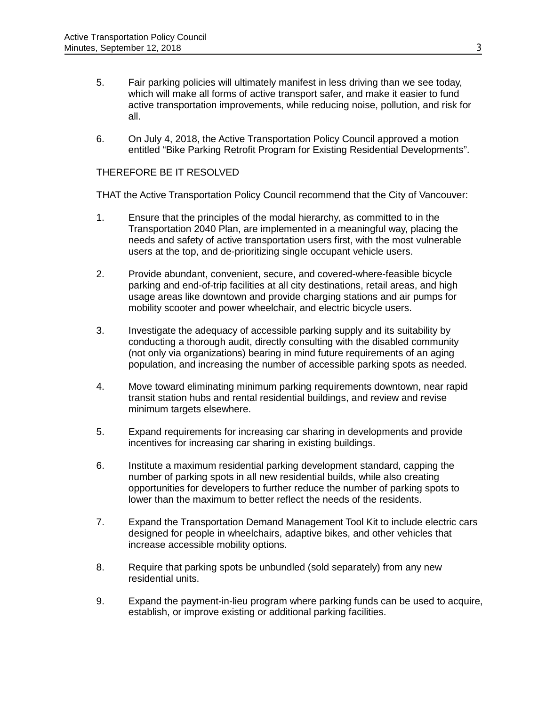- 5. Fair parking policies will ultimately manifest in less driving than we see today, which will make all forms of active transport safer, and make it easier to fund active transportation improvements, while reducing noise, pollution, and risk for all.
- 6. On July 4, 2018, the Active Transportation Policy Council approved a motion entitled "Bike Parking Retrofit Program for Existing Residential Developments".

## THEREFORE BE IT RESOLVED

THAT the Active Transportation Policy Council recommend that the City of Vancouver:

- 1. Ensure that the principles of the modal hierarchy, as committed to in the Transportation 2040 Plan, are implemented in a meaningful way, placing the needs and safety of active transportation users first, with the most vulnerable users at the top, and de-prioritizing single occupant vehicle users.
- 2. Provide abundant, convenient, secure, and covered-where-feasible bicycle parking and end-of-trip facilities at all city destinations, retail areas, and high usage areas like downtown and provide charging stations and air pumps for mobility scooter and power wheelchair, and electric bicycle users.
- 3. Investigate the adequacy of accessible parking supply and its suitability by conducting a thorough audit, directly consulting with the disabled community (not only via organizations) bearing in mind future requirements of an aging population, and increasing the number of accessible parking spots as needed.
- 4. Move toward eliminating minimum parking requirements downtown, near rapid transit station hubs and rental residential buildings, and review and revise minimum targets elsewhere.
- 5. Expand requirements for increasing car sharing in developments and provide incentives for increasing car sharing in existing buildings.
- 6. Institute a maximum residential parking development standard, capping the number of parking spots in all new residential builds, while also creating opportunities for developers to further reduce the number of parking spots to lower than the maximum to better reflect the needs of the residents.
- 7. Expand the Transportation Demand Management Tool Kit to include electric cars designed for people in wheelchairs, adaptive bikes, and other vehicles that increase accessible mobility options.
- 8. Require that parking spots be unbundled (sold separately) from any new residential units.
- 9. Expand the payment-in-lieu program where parking funds can be used to acquire, establish, or improve existing or additional parking facilities.